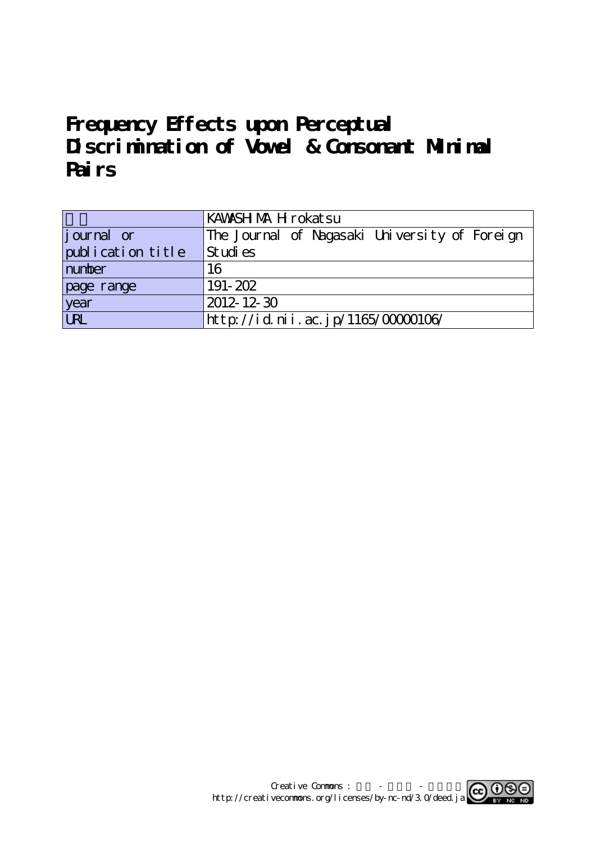# **Frequency Effects upon Perceptual Discrimination of Vowel & Consonant Minimal Pairs**

|                    | KAWASH MA H rokat su                          |  |  |  |
|--------------------|-----------------------------------------------|--|--|--|
| <i>j</i> ournal or | The Journal of Nagasaki University of Foreign |  |  |  |
| publication title  | Studies                                       |  |  |  |
| number             | 16                                            |  |  |  |
| page range         | 191-202                                       |  |  |  |
| year<br>URL        | $ 2012 - 12 - 30 $                            |  |  |  |
|                    | http://id.nii.ac.jp/1165/00000106/            |  |  |  |

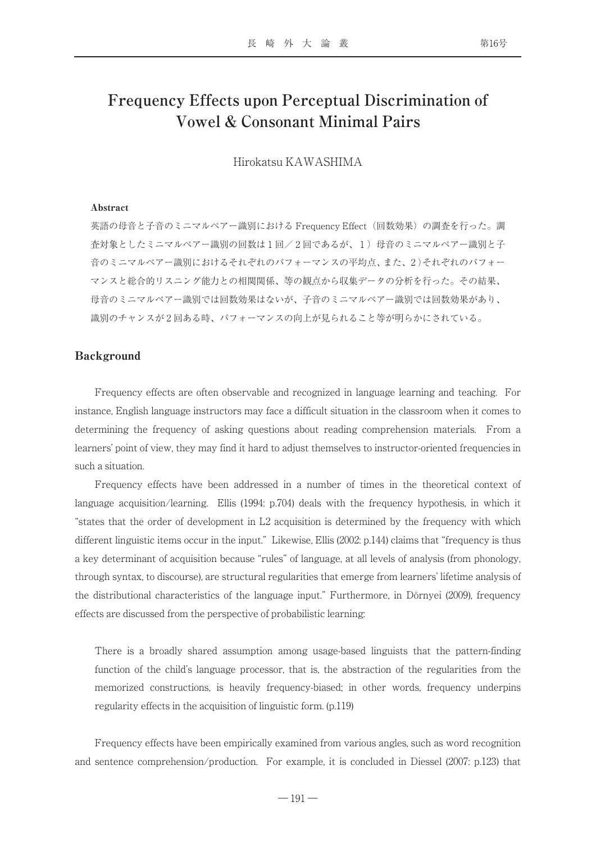# **Frequency Effects upon Perceptual Discrimination of Vowel & Consonant Minimal Pairs**

Hirokatsu KAWASHIMA

#### Abstract

英語の母音と子音のミニマルペアー識別における Frequency Effect (回数効果)の調査を行った。調 査対象としたミニマルペアー識別の回数は1回/2回であるが、1)母音のミニマルペアー識別と子 音のミニマルペアー識別におけるそれぞれのパフォーマンスの平均点、また、2)それぞれのパフォー マンスと総合的リスニング能力との相関関係、等の観点から収集データの分析を行った。その結果、 母音のミニマルペアー識別では回数効果はないが、子音のミニマルペアー識別では回数効果があり、 識別のチャンスが2回ある時、パフォーマンスの向上が見られること等が明らかにされている。

#### Background

Frequency effects are often observable and recognized in language learning and teaching. For instance, English language instructors may face a difficult situation in the classroom when it comes to determining the frequency of asking questions about reading comprehension materials. From a learners' point of view, they may find it hard to adjust themselves to instructor-oriented frequencies in such a situation.

Frequency effects have been addressed in a number of times in the theoretical context of language acquisition/learning. Ellis (1994: p.704) deals with the frequency hypothesis, in which it "states that the order of development in L2 acquisition is determined by the frequency with which different linguistic items occur in the input." Likewise, Ellis (2002: p.144) claims that "frequency is thus a key determinant of acquisition because "rules" of language, at all levels of analysis (from phonology, through syntax, to discourse), are structural regularities that emerge from learners' lifetime analysis of the distributional characteristics of the language input." Furthermore, in Dörnyei (2009), frequency effects are discussed from the perspective of probabilistic learning:

There is a broadly shared assumption among usage-based linguists that the pattern-finding function of the child's language processor, that is, the abstraction of the regularities from the memorized constructions, is heavily frequency-biased; in other words, frequency underpins regularity effects in the acquisition of linguistic form. (p.119)

Frequency effects have been empirically examined from various angles, such as word recognition and sentence comprehension/production. For example, it is concluded in Diessel (2007: p.123) that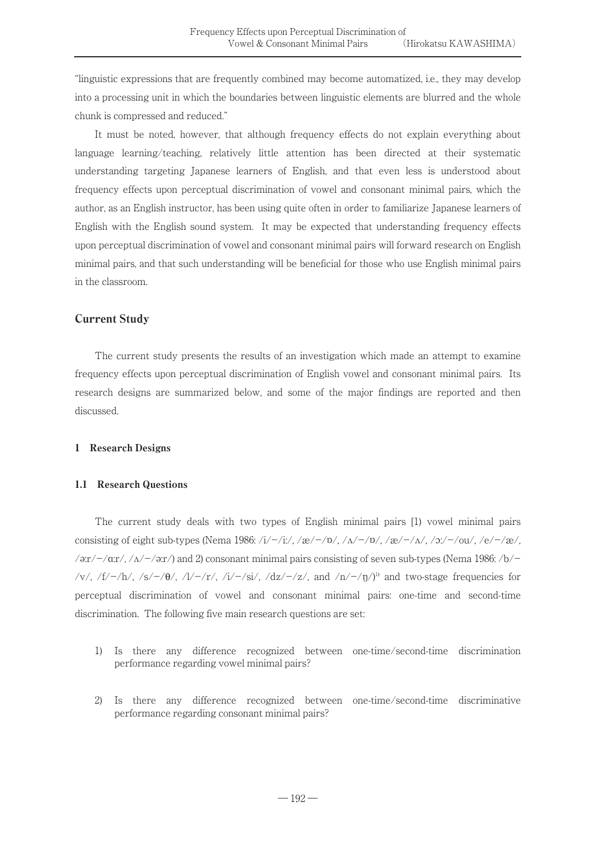"linguistic expressions that are frequently combined may become automatized, i.e., they may develop into a processing unit in which the boundaries between linguistic elements are blurred and the whole chunk is compressed and reduced."

It must be noted, however, that although frequency effects do not explain everything about language learning/teaching, relatively little attention has been directed at their systematic understanding targeting Japanese learners of English, and that even less is understood about frequency effects upon perceptual discrimination of vowel and consonant minimal pairs, which the author, as an English instructor, has been using quite often in order to familiarize Japanese learners of English with the English sound system. It may be expected that understanding frequency effects upon perceptual discrimination of vowel and consonant minimal pairs will forward research on English minimal pairs, and that such understanding will be beneficial for those who use English minimal pairs in the classroom.

# Current Study

The current study presents the results of an investigation which made an attempt to examine frequency effects upon perceptual discrimination of English vowel and consonant minimal pairs. Its research designs are summarized below, and some of the major findings are reported and then discussed.

# 1 Research Designs

# 1.1 Research Questions

The current study deals with two types of English minimal pairs [1) vowel minimal pairs consisting of eight sub-types (Nema 1986:  $\frac{\lambda}{1-\lambda}$ :  $\frac{\lambda}{\lambda}$  /m/-/p/,  $\frac{\lambda}{\lambda}$  /m/-/p/,  $\frac{\lambda}{\lambda}$ /-/a/,  $\frac{\lambda}{\lambda}$ /-/ou/,  $\frac{\lambda}{\lambda}$ /-/a/, /ə: $r$ /-/ $\alpha$ : $r$ /, / $\alpha$ /-/ə: $r$ /) and 2) consonant minimal pairs consisting of seven sub-types (Nema 1986: /b/-/v/, /f/-/h/, /s/-/ $\theta$ /, /l/-/r/, /i/-/si/, /dz/-/z/, and /n/-/n/<sup>1</sup>)<sup></sup> and two-stage frequencies for perceptual discrimination of vowel and consonant minimal pairs: one-time and second-time discrimination. The following five main research questions are set:

- 1) Is there any difference recognized between one-time/second-time discrimination performance regarding vowel minimal pairs?
- 2) Is there any difference recognized between one-time/second-time discriminative performance regarding consonant minimal pairs?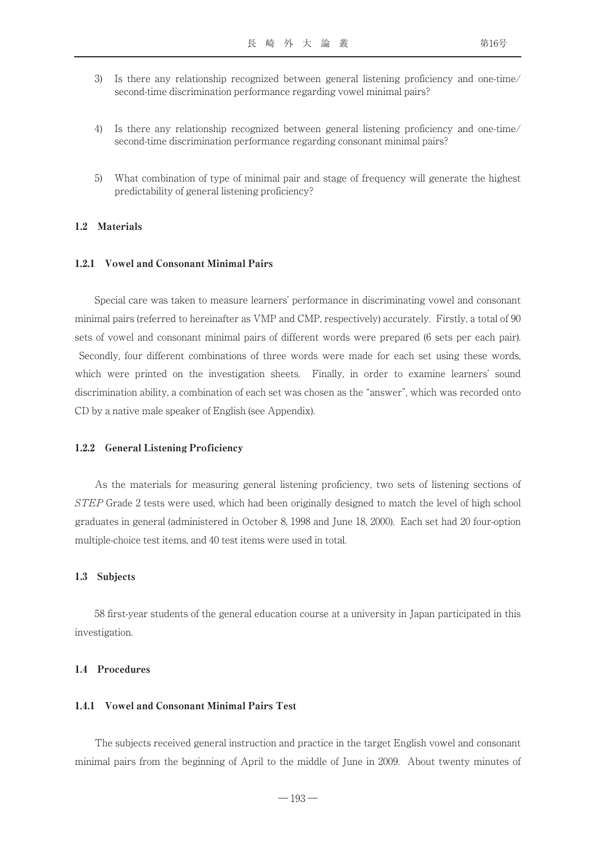- 3) Is there any relationship recognized between general listening proficiency and one-time/ second-time discrimination performance regarding vowel minimal pairs?
- 4) Is there any relationship recognized between general listening proficiency and one-time/ second-time discrimination performance regarding consonant minimal pairs?
- 5) What combination of type of minimal pair and stage of frequency will generate the highest predictability of general listening proficiency?

#### 1.2 Materials

#### 1.2.1 Vowel and Consonant Minimal Pairs

Special care was taken to measure learners' performance in discriminating vowel and consonant minimal pairs (referred to hereinafter as VMP and CMP, respectively) accurately. Firstly, a total of 90 sets of vowel and consonant minimal pairs of different words were prepared (6 sets per each pair). Secondly, four different combinations of three words were made for each set using these words, which were printed on the investigation sheets. Finally, in order to examine learners' sound discrimination ability, a combination of each set was chosen as the "answer", which was recorded onto CD by a native male speaker of English (see Appendix).

#### 1.2.2 General Listening Proficiency

As the materials for measuring general listening proficiency, two sets of listening sections of STEP Grade 2 tests were used, which had been originally designed to match the level of high school graduates in general (administered in October 8, 1998 and June 18, 2000). Each set had 20 four-option multiple-choice test items, and 40 test items were used in total.

#### 1.3 Subjects

58 first-year students of the general education course at a university in Japan participated in this investigation.

#### 1.4 Procedures

#### 1.4.1 Vowel and Consonant Minimal Pairs Test

The subjects received general instruction and practice in the target English vowel and consonant minimal pairs from the beginning of April to the middle of June in 2009. About twenty minutes of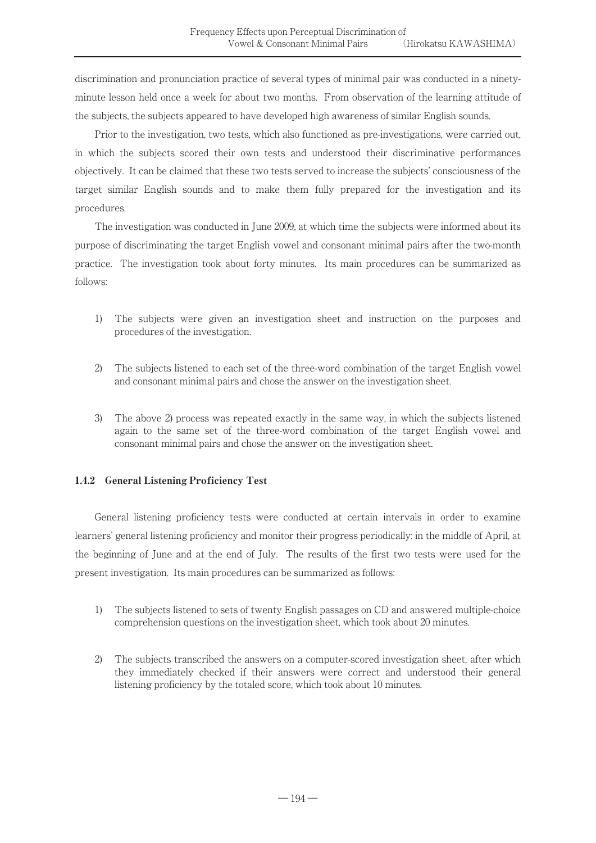discrimination and pronunciation practice of several types of minimal pair was conducted in a ninetyminute lesson held once a week for about two months. From observation of the learning attitude of the subjects, the subjects appeared to have developed high awareness of similar English sounds.

Prior to the investigation, two tests, which also functioned as pre-investigations, were carried out, in which the subjects scored their own tests and understood their discriminative performances objectively. It can be claimed that these two tests served to increase the subjects' consciousness of the target similar English sounds and to make them fully prepared for the investigation and its procedures.

The investigation was conducted in June 2009, at which time the subjects were informed about its purpose of discriminating the target English vowel and consonant minimal pairs after the two-month practice. The investigation took about forty minutes. Its main procedures can be summarized as follows:

- 1) The subjects were given an investigation sheet and instruction on the purposes and procedures of the investigation.
- 2) The subjects listened to each set of the three-word combination of the target English vowel and consonant minimal pairs and chose the answer on the investigation sheet.
- 3) The above 2) process was repeated exactly in the same way, in which the subjects listened again to the same set of the three-word combination of the target English vowel and consonant minimal pairs and chose the answer on the investigation sheet.

# 1.4.2 General Listening Proficiency Test

General listening proficiency tests were conducted at certain intervals in order to examine learners' general listening proficiency and monitor their progress periodically: in the middle of April, at the beginning of June and at the end of July. The results of the first two tests were used for the present investigation. Its main procedures can be summarized as follows:

- 1) The subjects listened to sets of twenty English passages on CD and answered multiple-choice comprehension questions on the investigation sheet, which took about 20 minutes.
- 2) The subjects transcribed the answers on a computer-scored investigation sheet, after which they immediately checked if their answers were correct and understood their general listening proficiency by the totaled score, which took about 10 minutes.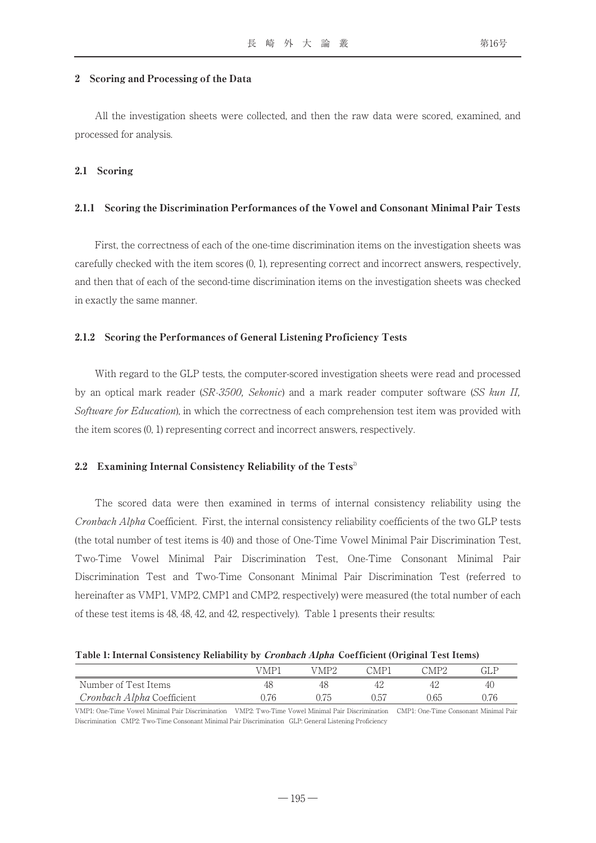#### 2 Scoring and Processing of the Data

All the investigation sheets were collected, and then the raw data were scored, examined, and processed for analysis.

#### 2.1 Scoring

#### 2.1.1 Scoring the Discrimination Performances of the Vowel and Consonant Minimal Pair Tests

First, the correctness of each of the one-time discrimination items on the investigation sheets was carefully checked with the item scores (0, 1), representing correct and incorrect answers, respectively, and then that of each of the second-time discrimination items on the investigation sheets was checked in exactly the same manner.

#### 2.1.2 Scoring the Performances of General Listening Proficiency Tests

With regard to the GLP tests, the computer-scored investigation sheets were read and processed by an optical mark reader (SR-3500, Sekonic) and a mark reader computer software (SS kun II, Software for Education), in which the correctness of each comprehension test item was provided with the item scores (0, 1) representing correct and incorrect answers, respectively.

#### 2.2 Examining Internal Consistency Reliability of the Tests<sup>2</sup>

The scored data were then examined in terms of internal consistency reliability using the Cronbach Alpha Coefficient. First, the internal consistency reliability coefficients of the two GLP tests (the total number of test items is 40) and those of One-Time Vowel Minimal Pair Discrimination Test, Two-Time Vowel Minimal Pair Discrimination Test, One-Time Consonant Minimal Pair Discrimination Test and Two-Time Consonant Minimal Pair Discrimination Test (referred to hereinafter as VMP1, VMP2, CMP1 and CMP2, respectively) were measured (the total number of each of these test items is 48, 48, 42, and 42, respectively). Table 1 presents their results:

#### Table 1: Internal Consistency Reliability by Cronbach Alpha Coefficient (Original Test Items)

|                                   | VMP. | MP? | $^{\sim}$ MP) | $\gamma_{\mathrm{MPO}}$ | GLF  |
|-----------------------------------|------|-----|---------------|-------------------------|------|
| Number of Test Items              |      | 48  |               |                         | 40   |
| <i>Cronbach Alpha</i> Coefficient |      |     | 0.57          | 1.65                    | .176 |

VMP1: One-Time Vowel Minimal Pair Discrimination VMP2: Two-Time Vowel Minimal Pair Discrimination CMP1: One-Time Consonant Minimal Pair Discrimination CMP2: Two-Time Consonant Minimal Pair Discrimination GLP: General Listening Proficiency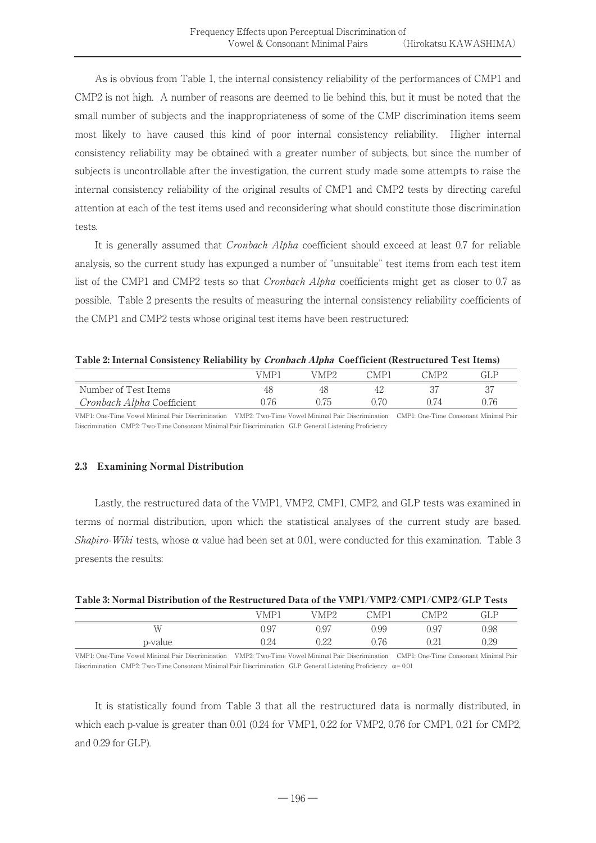As is obvious from Table 1, the internal consistency reliability of the performances of CMP1 and CMP2 is not high. A number of reasons are deemed to lie behind this, but it must be noted that the small number of subjects and the inappropriateness of some of the CMP discrimination items seem most likely to have caused this kind of poor internal consistency reliability. Higher internal consistency reliability may be obtained with a greater number of subjects, but since the number of subjects is uncontrollable after the investigation, the current study made some attempts to raise the internal consistency reliability of the original results of CMP1 and CMP2 tests by directing careful attention at each of the test items used and reconsidering what should constitute those discrimination tests.

It is generally assumed that Cronbach Alpha coefficient should exceed at least 0.7 for reliable analysis, so the current study has expunged a number of "unsuitable" test items from each test item list of the CMP1 and CMP2 tests so that Cronbach Alpha coefficients might get as closer to 0.7 as possible. Table 2 presents the results of measuring the internal consistency reliability coefficients of the CMP1 and CMP2 tests whose original test items have been restructured:

Table 2: Internal Consistency Reliability by Cronbach Alpha Coefficient (Restructured Test Items)

|                            | 7MP | 'MP2 | `MP` | ™P?   | GLF |
|----------------------------|-----|------|------|-------|-----|
| Number of Test Items       |     |      |      |       |     |
| Cronbach Alpha Coefficient |     |      |      | ' / Д |     |

VMP1: One-Time Vowel Minimal Pair Discrimination VMP2: Two-Time Vowel Minimal Pair Discrimination CMP1: One-Time Consonant Minimal Pair Discrimination CMP2: Two-Time Consonant Minimal Pair Discrimination GLP: General Listening Proficiency

# 2.3 Examining Normal Distribution

Lastly, the restructured data of the VMP1, VMP2, CMP1, CMP2, and GLP tests was examined in terms of normal distribution, upon which the statistical analyses of the current study are based. Shapiro-Wiki tests, whose  $\alpha$  value had been set at 0.01, were conducted for this examination. Table 3 presents the results:

| Table 3: Normal Distribution of the Restructured Data of the VMP1/VMP2/CMP1/CMP2/GLP Tests |  |
|--------------------------------------------------------------------------------------------|--|
|--------------------------------------------------------------------------------------------|--|

|         | VMP1 | MP2  | $\bigcirc$ MP1<br>12 T | CMP2 | GLP  |
|---------|------|------|------------------------|------|------|
| WΤ      | 0.97 | 0.97 | 0.99                   | 0.97 | 0.98 |
| p-value | 0.24 | 0.22 | 0.76                   | 0.41 | 0.29 |

VMP1: One-Time Vowel Minimal Pair Discrimination VMP2: Two-Time Vowel Minimal Pair Discrimination CMP1: One-Time Consonant Minimal Pair Discrimination CMP2: Two-Time Consonant Minimal Pair Discrimination GLP: General Listening Proficiency  $\alpha = 0.01$ 

It is statistically found from Table 3 that all the restructured data is normally distributed, in which each p-value is greater than 0.01 (0.24 for VMP1, 0.22 for VMP2, 0.76 for CMP1, 0.21 for CMP2, and 0.29 for GLP).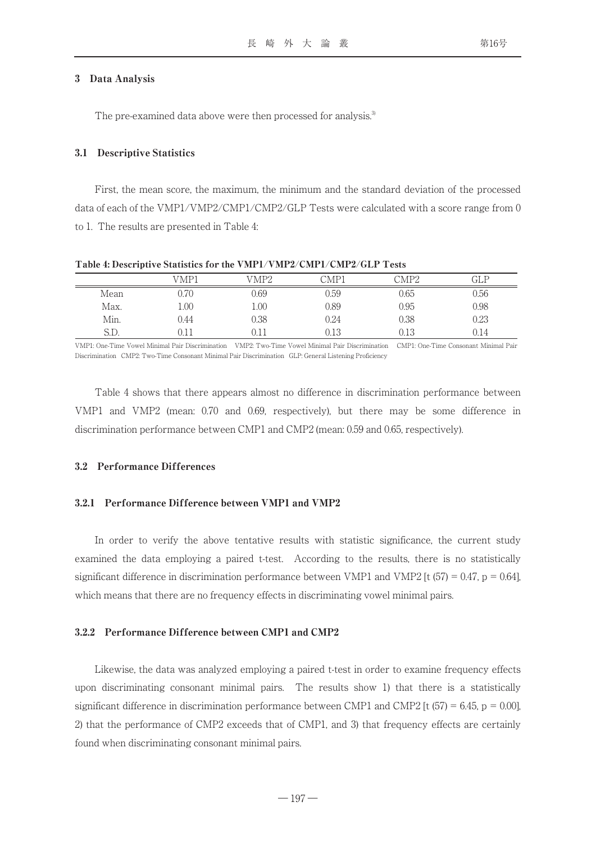#### 3 Data Analysis

The pre-examined data above were then processed for analysis.<sup>3</sup>

#### 3.1 Descriptive Statistics

First, the mean score, the maximum, the minimum and the standard deviation of the processed data of each of the VMP1/VMP2/CMP1/CMP2/GLP Tests were calculated with a score range from 0 to 1. The results are presented in Table 4:

|      | VMP1     | VMP2     | CMP1 | CMP2 | GLP  |
|------|----------|----------|------|------|------|
| Mean | 0.70     | 0.69     | 0.59 | 0.65 | 0.56 |
| Max. | $1.00\,$ | $1.00\,$ | 0.89 | 0.95 | 0.98 |
| Min. | 0.44     | 0.38     | 0.24 | 0.38 | 0.23 |
| S.D. |          |          | 0.13 | 0.13 | ).14 |

Table 4: Descriptive Statistics for the VMP1/VMP2/CMP1/CMP2/GLP Tests

VMP1: One-Time Vowel Minimal Pair Discrimination VMP2: Two-Time Vowel Minimal Pair Discrimination CMP1: One-Time Consonant Minimal Pair Discrimination CMP2: Two-Time Consonant Minimal Pair Discrimination GLP: General Listening Proficiency

Table 4 shows that there appears almost no difference in discrimination performance between VMP1 and VMP2 (mean: 0.70 and 0.69, respectively), but there may be some difference in discrimination performance between CMP1 and CMP2 (mean: 0.59 and 0.65, respectively).

#### 3.2 Performance Differences

#### 3.2.1 Performance Difference between VMP1 and VMP2

In order to verify the above tentative results with statistic significance, the current study examined the data employing a paired t-test. According to the results, there is no statistically significant difference in discrimination performance between VMP1 and VMP2 [t  $(57) = 0.47$ , p = 0.64], which means that there are no frequency effects in discriminating vowel minimal pairs.

#### 3.2.2 Performance Difference between CMP1 and CMP2

Likewise, the data was analyzed employing a paired t-test in order to examine frequency effects upon discriminating consonant minimal pairs. The results show 1) that there is a statistically significant difference in discrimination performance between CMP1 and CMP2  $[t (57) = 6.45, p = 0.00]$ , 2) that the performance of CMP2 exceeds that of CMP1, and 3) that frequency effects are certainly found when discriminating consonant minimal pairs.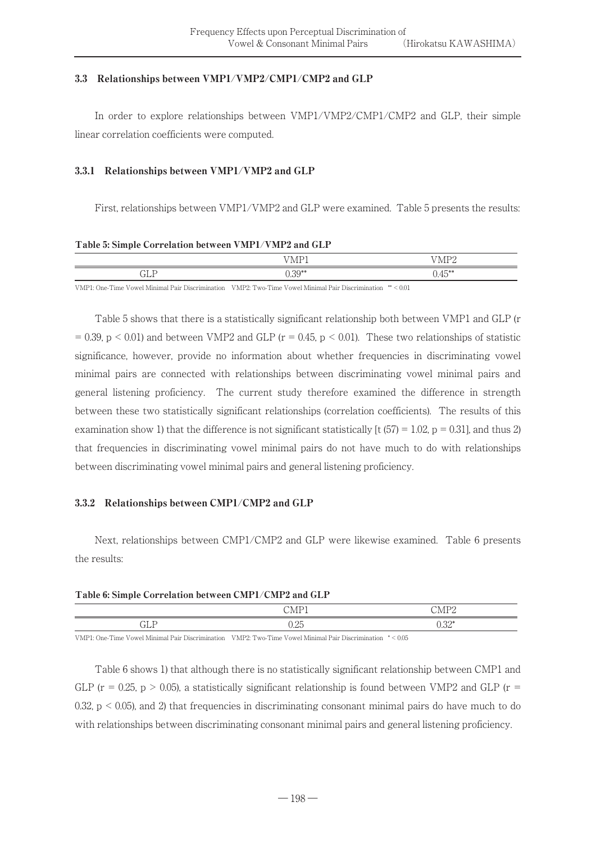## 3.3 Relationships between VMP1/VMP2/CMP1/CMP2 and GLP

In order to explore relationships between VMP1/VMP2/CMP1/CMP2 and GLP, their simple linear correlation coefficients were computed.

## 3.3.1 Relationships between VMP1/VMP2 and GLP

First, relationships between VMP1/VMP2 and GLP were examined. Table 5 presents the results:

#### Table 5: Simple Correlation between VMP1/VMP2 and GLP

|                                                            | T T R<br>M<br><b>IVII</b> | T T 1 T 0<br>111L           |
|------------------------------------------------------------|---------------------------|-----------------------------|
| $\overline{\phantom{a}}$<br>$\overline{\phantom{a}}$<br>ﯩﺴ | $\Omega$<br>J.IY          | $A \sqsubseteq **$<br>v. Tu |

VMP1: One-Time Vowel Minimal Pair Discrimination VMP2: Two-Time Vowel Minimal Pair Discrimination \*\* < 0.01

Table 5 shows that there is a statistically significant relationship both between VMP1 and GLP (r  $= 0.39$ , p < 0.01) and between VMP2 and GLP (r = 0.45, p < 0.01). These two relationships of statistic significance, however, provide no information about whether frequencies in discriminating vowel minimal pairs are connected with relationships between discriminating vowel minimal pairs and general listening proficiency. The current study therefore examined the difference in strength between these two statistically significant relationships (correlation coefficients). The results of this examination show 1) that the difference is not significant statistically [t  $(57) = 1.02$ , p = 0.31], and thus 2) that frequencies in discriminating vowel minimal pairs do not have much to do with relationships between discriminating vowel minimal pairs and general listening proficiency.

#### 3.3.2 Relationships between CMP1/CMP2 and GLP

Next, relationships between CMP1/CMP2 and GLP were likewise examined. Table 6 presents the results:

#### Table 6: Simple Correlation between CMP1/CMP2 and GLP

|                               | $-$<br>.<br>-        | $\sqrt{2}$<br>$\Lambda$ |
|-------------------------------|----------------------|-------------------------|
| $\overline{\phantom{0}}$<br>. | חר<br>$J. \triangle$ | $0.32*$                 |

VMP1: One-Time Vowel Minimal Pair Discrimination VMP2: Two-Time Vowel Minimal Pair Discrimination \* < 0.05

Table 6 shows 1) that although there is no statistically significant relationship between CMP1 and GLP ( $r = 0.25$ ,  $p > 0.05$ ), a statistically significant relationship is found between VMP2 and GLP ( $r =$ 0.32,  $p < 0.05$ ), and 2) that frequencies in discriminating consonant minimal pairs do have much to do with relationships between discriminating consonant minimal pairs and general listening proficiency.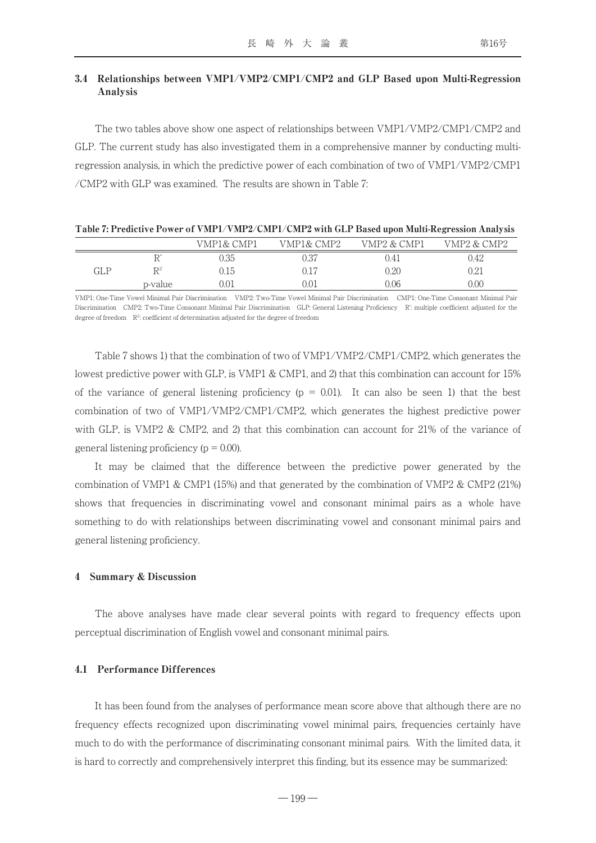# 3.4 Relationships between VMP1/VMP2/CMP1/CMP2 and GLP Based upon Multi-Regression Analysis

The two tables above show one aspect of relationships between VMP1/VMP2/CMP1/CMP2 and GLP. The current study has also investigated them in a comprehensive manner by conducting multiregression analysis, in which the predictive power of each combination of two of VMP1/VMP2/CMP1 /CMP2 with GLP was examined. The results are shown in Table 7:

|     |                | VMP1& CMP1 | VMP1& CMP2 | VMP2 & CMP1 | VMP2 & CMP2 |
|-----|----------------|------------|------------|-------------|-------------|
|     |                | ).35       | ).37       | ).41        | 0.42        |
| GLP | $\mathbb{R}^2$ | ).15       | 0.17       | 0.20        | 0.21        |
|     | p-value        | 0.01       | 0.01       | 0.06        | 0.00        |
|     |                |            |            |             |             |

VMP1: One-Time Vowel Minimal Pair Discrimination VMP2: Two-Time Vowel Minimal Pair Discrimination CMP1: One-Time Consonant Minimal Pair Discrimination CMP2: Two-Time Consonant Minimal Pair Discrimination GLP: General Listening Proficiency R': multiple coefficient adjusted for the degree of freedom  $R^2$ : coefficient of determination adjusted for the degree of freedom

Table 7 shows 1) that the combination of two of VMP1/VMP2/CMP1/CMP2, which generates the lowest predictive power with GLP, is VMP1 & CMP1, and 2) that this combination can account for 15% of the variance of general listening proficiency ( $p = 0.01$ ). It can also be seen 1) that the best combination of two of VMP1/VMP2/CMP1/CMP2, which generates the highest predictive power with GLP, is VMP2 & CMP2, and 2) that this combination can account for 21% of the variance of general listening proficiency ( $p = 0.00$ ).

It may be claimed that the difference between the predictive power generated by the combination of VMP1 & CMP1 (15%) and that generated by the combination of VMP2 & CMP2 (21%) shows that frequencies in discriminating vowel and consonant minimal pairs as a whole have something to do with relationships between discriminating vowel and consonant minimal pairs and general listening proficiency.

#### 4 Summary & Discussion

The above analyses have made clear several points with regard to frequency effects upon perceptual discrimination of English vowel and consonant minimal pairs.

#### 4.1 Performance Differences

It has been found from the analyses of performance mean score above that although there are no frequency effects recognized upon discriminating vowel minimal pairs, frequencies certainly have much to do with the performance of discriminating consonant minimal pairs. With the limited data, it is hard to correctly and comprehensively interpret this finding, but its essence may be summarized: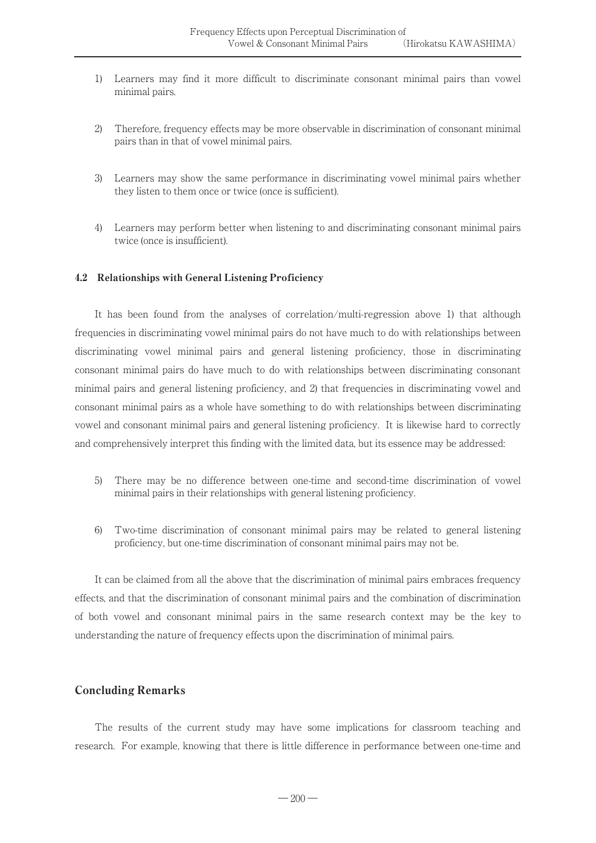- 1) Learners may find it more difficult to discriminate consonant minimal pairs than vowel minimal pairs.
- 2) Therefore, frequency effects may be more observable in discrimination of consonant minimal pairs than in that of vowel minimal pairs.
- 3) Learners may show the same performance in discriminating vowel minimal pairs whether they listen to them once or twice (once is sufficient).
- 4) Learners may perform better when listening to and discriminating consonant minimal pairs twice (once is insufficient).

#### 4.2 Relationships with General Listening Proficiency

It has been found from the analyses of correlation/multi-regression above 1) that although frequencies in discriminating vowel minimal pairs do not have much to do with relationships between discriminating vowel minimal pairs and general listening proficiency, those in discriminating consonant minimal pairs do have much to do with relationships between discriminating consonant minimal pairs and general listening proficiency, and 2) that frequencies in discriminating vowel and consonant minimal pairs as a whole have something to do with relationships between discriminating vowel and consonant minimal pairs and general listening proficiency. It is likewise hard to correctly and comprehensively interpret this finding with the limited data, but its essence may be addressed:

- 5) There may be no difference between one-time and second-time discrimination of vowel minimal pairs in their relationships with general listening proficiency.
- 6) Two-time discrimination of consonant minimal pairs may be related to general listening proficiency, but one-time discrimination of consonant minimal pairs may not be.

It can be claimed from all the above that the discrimination of minimal pairs embraces frequency effects, and that the discrimination of consonant minimal pairs and the combination of discrimination of both vowel and consonant minimal pairs in the same research context may be the key to understanding the nature of frequency effects upon the discrimination of minimal pairs.

# Concluding Remarks

The results of the current study may have some implications for classroom teaching and research. For example, knowing that there is little difference in performance between one-time and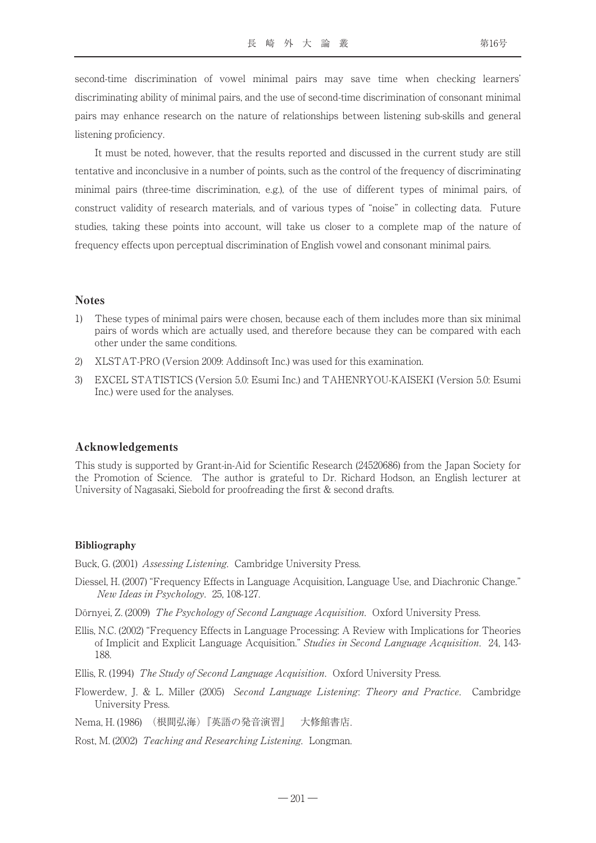second-time discrimination of vowel minimal pairs may save time when checking learners' discriminating ability of minimal pairs, and the use of second-time discrimination of consonant minimal pairs may enhance research on the nature of relationships between listening sub-skills and general listening proficiency.

It must be noted, however, that the results reported and discussed in the current study are still tentative and inconclusive in a number of points, such as the control of the frequency of discriminating minimal pairs (three-time discrimination, e.g.), of the use of different types of minimal pairs, of construct validity of research materials, and of various types of "noise" in collecting data. Future studies, taking these points into account, will take us closer to a complete map of the nature of frequency effects upon perceptual discrimination of English vowel and consonant minimal pairs.

#### Notes

- 1) These types of minimal pairs were chosen, because each of them includes more than six minimal pairs of words which are actually used, and therefore because they can be compared with each other under the same conditions.
- 2) XLSTAT-PRO (Version 2009: Addinsoft Inc.) was used for this examination.
- 3) EXCEL STATISTICS (Version 5.0: Esumi Inc.) and TAHENRYOU-KAISEKI (Version 5.0: Esumi Inc.) were used for the analyses.

#### Acknowledgements

This study is supported by Grant-in-Aid for Scientific Research (24520686) from the Japan Society for the Promotion of Science. The author is grateful to Dr. Richard Hodson, an English lecturer at University of Nagasaki, Siebold for proofreading the first & second drafts.

#### Bibliography

Buck, G. (2001) Assessing Listening. Cambridge University Press.

- Diessel, H. (2007) "Frequency Effects in Language Acquisition, Language Use, and Diachronic Change." New Ideas in Psychology. 25, 108-127.
- Dörnyei, Z. (2009) The Psychology of Second Language Acquisition. Oxford University Press.
- Ellis, N.C. (2002) "Frequency Effects in Language Processing: A Review with Implications for Theories of Implicit and Explicit Language Acquisition." Studies in Second Language Acquisition. 24, 143- 188.
- Ellis, R. (1994) The Study of Second Language Acquisition. Oxford University Press.
- Flowerdew, J. & L. Miller (2005) Second Language Listening: Theory and Practice. Cambridge University Press.

Nema, H. (1986) (根間弘海)『英語の発音演習』 大修館書店.

Rost, M. (2002) Teaching and Researching Listening. Longman.